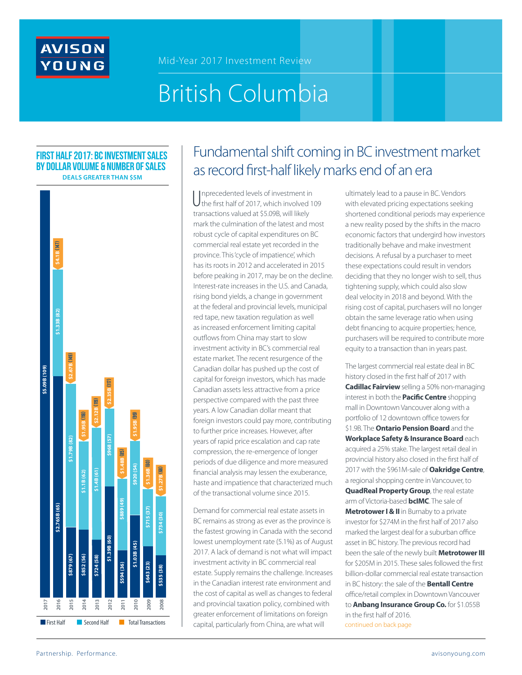

# British Columbia

#### **First half 2017: BC Investment SALES by dollar volume & number of sales Deals greater than \$5M**



# Fundamental shift coming in BC investment market as record first-half likely marks end of an era

Unprecedented levels of investment in<br>the first half of 2017, which involved 1 the first half of 2017, which involved 109 transactions valued at \$5.09B, will likely mark the culmination of the latest and most robust cycle of capital expenditures on BC commercial real estate yet recorded in the province. This 'cycle of impatience', which has its roots in 2012 and accelerated in 2015 before peaking in 2017, may be on the decline. Interest-rate increases in the U.S. and Canada, rising bond yields, a change in government at the federal and provincial levels, municipal red tape, new taxation regulation as well as increased enforcement limiting capital outflows from China may start to slow investment activity in BC's commercial real estate market. The recent resurgence of the Canadian dollar has pushed up the cost of capital for foreign investors, which has made Canadian assets less attractive from a price perspective compared with the past three years. A low Canadian dollar meant that foreign investors could pay more, contributing to further price increases. However, after years of rapid price escalation and cap rate compression, the re-emergence of longer periods of due diligence and more measured financial analysis may lessen the exuberance, haste and impatience that characterized much of the transactional volume since 2015.

Demand for commercial real estate assets in BC remains as strong as ever as the province is the fastest growing in Canada with the second lowest unemployment rate (5.1%) as of August 2017. A lack of demand is not what will impact investment activity in BC commercial real estate. Supply remains the challenge. Increases in the Canadian interest rate environment and the cost of capital as well as changes to federal and provincial taxation policy, combined with greater enforcement of limitations on foreign capital, particularly from China, are what will

ultimately lead to a pause in BC. Vendors with elevated pricing expectations seeking shortened conditional periods may experience a new reality posed by the shifts in the macro economic factors that undergird how investors traditionally behave and make investment decisions. A refusal by a purchaser to meet these expectations could result in vendors deciding that they no longer wish to sell, thus tightening supply, which could also slow deal velocity in 2018 and beyond. With the rising cost of capital, purchasers will no longer obtain the same leverage ratio when using debt financing to acquire properties; hence, purchasers will be required to contribute more equity to a transaction than in years past.

The largest commercial real estate deal in BC history closed in the first half of 2017 with **Cadillac Fairview** selling a 50% non-managing interest in both the **Pacific Centre** shopping mall in Downtown Vancouver along with a portfolio of 12 downtown office towers for \$1.9B. The **Ontario Pension Board** and the **Workplace Safety & Insurance Board** each acquired a 25% stake. The largest retail deal in provincial history also closed in the first half of 2017 with the \$961M-sale of **Oakridge Centre**, a regional shopping centre in Vancouver, to **QuadReal Property Group**, the real estate arm of Victoria-based **bcIMC**. The sale of **Metrotower I & II** in Burnaby to a private investor for \$274M in the first half of 2017 also marked the largest deal for a suburban office asset in BC history. The previous record had been the sale of the newly built **Metrotower III**  for \$205M in 2015. These sales followed the first billion-dollar commercial real estate transaction in BC history: the sale of the **Bentall Centre** office/retail complex in Downtown Vancouver to **Anbang Insurance Group Co.** for \$1.055B in the first half of 2016. continued on back page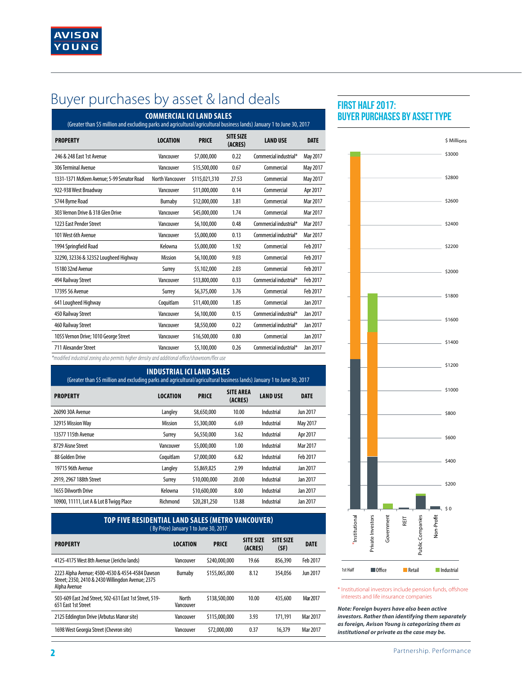# Buyer purchases by asset & land deals **FIRST HALF 2017:**

| <b>COMMERCIAL ICI LAND SALES</b><br>(Greater than \$5 million and excluding parks and agricultural/agricultural business lands) January 1 to June 30, 2017 |                         |               |                             |                        |             |  |
|------------------------------------------------------------------------------------------------------------------------------------------------------------|-------------------------|---------------|-----------------------------|------------------------|-------------|--|
| <b>PROPERTY</b>                                                                                                                                            | <b>LOCATION</b>         | <b>PRICE</b>  | <b>SITE SIZE</b><br>(ACRES) | <b>LAND USE</b>        | <b>DATE</b> |  |
| 246 & 248 East 1st Avenue                                                                                                                                  | Vancouver               | \$7,000,000   | 0.22                        | Commercial industrial* | May 2017    |  |
| 306 Terminal Avenue                                                                                                                                        | Vancouver               | \$15,500,000  | 0.67                        | Commercial             | May 2017    |  |
| 1331-1371 McKeen Avenue; 5-99 Senator Road                                                                                                                 | <b>North Vancouver</b>  | \$115,021,310 | 27.53                       | Commercial             | May 2017    |  |
| 922-938 West Broadway                                                                                                                                      | Vancouver               | \$11,000,000  | 0.14                        | Commercial             | Apr 2017    |  |
| 5744 Byrne Road                                                                                                                                            | Burnaby                 | \$12,000,000  | 3.81                        | Commercial             | Mar 2017    |  |
| 303 Vernon Drive & 318 Glen Drive                                                                                                                          | Vancouver               | \$45,000,000  | 1.74                        | Commercial             | Mar 2017    |  |
| 1223 East Pender Street                                                                                                                                    | Vancouver               | \$6,100,000   | 0.48                        | Commercial industrial* | Mar 2017    |  |
| 101 West 6th Avenue                                                                                                                                        | Vancouver               | \$5,000,000   | 0.13                        | Commercial industrial* | Mar 2017    |  |
| 1994 Springfield Road                                                                                                                                      | Kelowna                 | \$5,000,000   | 1.92                        | Commercial             | Feb 2017    |  |
| 32290, 32336 & 32352 Lougheed Highway                                                                                                                      | <b>Mission</b>          | \$6,100,000   | 9.03                        | Commercial             | Feb 2017    |  |
| 15180 32nd Avenue                                                                                                                                          | Surrey                  | \$5,102,000   | 2.03                        | Commercial             | Feb 2017    |  |
| 494 Railway Street                                                                                                                                         | Vancouver               | \$13,800,000  | 0.33                        | Commercial industrial* | Feb 2017    |  |
| 17395 56 Avenue                                                                                                                                            | Surrey                  | \$6,375,000   | 3.76                        | Commercial             | Feb 2017    |  |
| 641 Lougheed Highway                                                                                                                                       | Coquitlam               | \$11,400,000  | 1.85                        | Commercial             | Jan 2017    |  |
| 450 Railway Street                                                                                                                                         | Vancouver               | \$6,100,000   | 0.15                        | Commercial industrial* | Jan 2017    |  |
| 460 Railway Street                                                                                                                                         | Vancouver               | \$8,550,000   | 0.22                        | Commercial industrial* | Jan 2017    |  |
| 1055 Vernon Drive; 1010 George Street                                                                                                                      | Vancouver               | \$16,500,000  | 0.80                        | Commercial             | Jan 2017    |  |
| 711 Alexander Street                                                                                                                                       | Vancouver               | \$5,100,000   | 0.26                        | Commercial industrial* | Jan 2017    |  |
|                                                                                                                                                            | $1 - 11111$<br>$\cdots$ |               |                             |                        |             |  |

*\*modified industrial zoning also permits higher density and additional office/showroom/flex use*

| <b>INDUSTRIAL ICI LAND SALES</b><br>(Greater than \$5 million and excluding parks and agricultural/agricultural business lands) January 1 to June 30, 2017 |                 |              |                             |                 |             |  |  |
|------------------------------------------------------------------------------------------------------------------------------------------------------------|-----------------|--------------|-----------------------------|-----------------|-------------|--|--|
| <b>PROPERTY</b>                                                                                                                                            | <b>LOCATION</b> | <b>PRICE</b> | <b>SITE AREA</b><br>(ACRES) | <b>LAND USE</b> | <b>DATE</b> |  |  |
| 26090 30A Avenue                                                                                                                                           | Langley         | \$8,650,000  | 10.00                       | Industrial      | Jun 2017    |  |  |
| 32915 Mission Way                                                                                                                                          | <b>Mission</b>  | \$5,300,000  | 6.69                        | Industrial      | May 2017    |  |  |
| 13577 115th Avenue                                                                                                                                         | Surrey          | \$6,550,000  | 3.62                        | Industrial      | Apr 2017    |  |  |
| 8729 Aisne Street                                                                                                                                          | Vancouver       | \$5,000,000  | 1.00                        | Industrial      | Mar 2017    |  |  |
| 88 Golden Drive                                                                                                                                            | Coquitlam       | \$7,000,000  | 6.82                        | Industrial      | Feb 2017    |  |  |
| 19715 96th Avenue                                                                                                                                          | Langley         | \$5,869,825  | 2.99                        | Industrial      | Jan 2017    |  |  |
| 2919, 2967 188th Street                                                                                                                                    | Surrey          | \$10,000,000 | 20.00                       | Industrial      | Jan 2017    |  |  |
| 1655 Dilworth Drive                                                                                                                                        | Kelowna         | \$10,600,000 | 8.00                        | Industrial      | Jan 2017    |  |  |
| 10900, 11111, Lot A & Lot B Twigg Place                                                                                                                    | Richmond        | \$20,281,250 | 13.88                       | Industrial      | Jan 2017    |  |  |

| TOP FIVE RESIDENTIAL LAND SALES (METRO VANCOUVER)<br>(By Price) January 1 to June 30, 2017 |               |                             |                          |             |  |  |  |
|--------------------------------------------------------------------------------------------|---------------|-----------------------------|--------------------------|-------------|--|--|--|
| <b>LOCATION</b>                                                                            | <b>PRICE</b>  | <b>SITE SIZE</b><br>(ACRES) | <b>SITE SIZE</b><br>(SF) | <b>DATE</b> |  |  |  |
| Vancouver                                                                                  | \$240,000,000 | 19.66                       | 856.390                  | Feb 2017    |  |  |  |
| Burnaby                                                                                    | \$155,065,000 | 8.12                        | 354.056                  | Jun 2017    |  |  |  |
| North<br>Vancouver                                                                         | \$138,500,000 | 10.00                       | 435,600                  | Mar 2017    |  |  |  |
| Vancouver                                                                                  | \$115,000,000 | 3.93                        | 171.191                  | Mar 2017    |  |  |  |
| Vancouver                                                                                  | \$72,000,000  | 0.37                        | 16.379                   | Mar 2017    |  |  |  |
|                                                                                            |               |                             |                          |             |  |  |  |

# **BUYER PURCHASES BY ASSET TYPE**



\* Institutional investors include pension funds, offshore interests and life insurance companies

*Note: Foreign buyers have also been active investors. Rather than identifying them separately as foreign, Avison Young is categorizing them as institutional or private as the case may be.*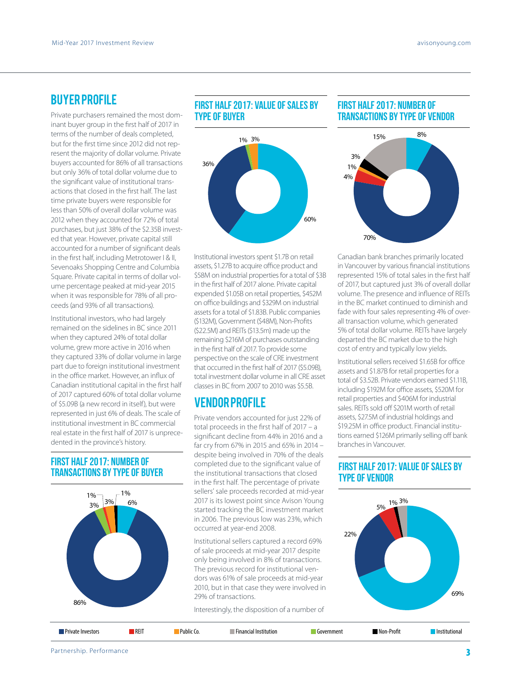### Buyer Profile

Private purchasers remained the most dominant buyer group in the first half of 2017 in terms of the number of deals completed, but for the first time since 2012 did not represent the majority of dollar volume. Private buyers accounted for 86% of all transactions but only 36% of total dollar volume due to the significant value of institutional transactions that closed in the first half. The last time private buyers were responsible for less than 50% of overall dollar volume was 2012 when they accounted for 72% of total purchases, but just 38% of the \$2.35B invested that year. However, private capital still accounted for a number of significant deals in the first half, including Metrotower I & II, Sevenoaks Shopping Centre and Columbia Square. Private capital in terms of dollar volume percentage peaked at mid-year 2015 when it was responsible for 78% of all proceeds (and 93% of all transactions).

Institutional investors, who had largely remained on the sidelines in BC since 2011 when they captured 24% of total dollar volume, grew more active in 2016 when they captured 33% of dollar volume in large part due to foreign institutional investment in the office market. However, an influx of Canadian institutional capital in the first half of 2017 captured 60% of total dollar volume of \$5.09B (a new record in itself), but were represented in just 6% of deals. The scale of institutional investment in BC commercial real estate in the first half of 2017 is unprecedented in the province's history.

#### **First Half 2017: number of transactions by type of buyer**



#### **First half 2017: value of sales by type of buyer**



Institutional investors spent \$1.7B on retail assets, \$1.27B to acquire office product and \$58M on industrial properties for a total of \$3B in the first half of 2017 alone. Private capital expended \$1.05B on retail properties, \$452M on office buildings and \$329M on industrial assets for a total of \$1.83B. Public companies (\$132M), Government (\$48M), Non-Profits (\$22.5M) and REITs (\$13.5m) made up the remaining \$216M of purchases outstanding in the first half of 2017. To provide some perspective on the scale of CRE investment that occurred in the first half of 2017 (\$5.09B), total investment dollar volume in all CRE asset classes in BC from 2007 to 2010 was \$5.5B.

### VENDOR Profile

Private vendors accounted for just 22% of total proceeds in the first half of 2017 – a significant decline from 44% in 2016 and a far cry from 67% in 2015 and 65% in 2014 – despite being involved in 70% of the deals completed due to the significant value of the institutional transactions that closed in the first half. The percentage of private sellers' sale proceeds recorded at mid-year 2017 is its lowest point since Avison Young started tracking the BC investment market in 2006. The previous low was 23%, which occurred at year-end 2008.

Institutional sellers captured a record 69% of sale proceeds at mid-year 2017 despite only being involved in 8% of transactions. The previous record for institutional vendors was 61% of sale proceeds at mid-year 2010, but in that case they were involved in 29% of transactions.

Interestingly, the disposition of a number of

### **first half 2017: number of transactions by type of vendor**



Canadian bank branches primarily located in Vancouver by various financial institutions represented 15% of total sales in the first half of 2017, but captured just 3% of overall dollar volume. The presence and influence of REITs in the BC market continued to diminish and fade with four sales representing 4% of overall transaction volume, which generated 5% of total dollar volume. REITs have largely departed the BC market due to the high cost of entry and typically low yields.

Institutional sellers received \$1.65B for office assets and \$1.87B for retail properties for a total of \$3.52B. Private vendors earned \$1.11B, including \$192M for office assets, \$520M for retail properties and \$406M for industrial sales. REITs sold off \$201M worth of retail assets, \$27.5M of industrial holdings and \$19.25M in office product. Financial institutions earned \$126M primarily selling off bank branches in Vancouver.

#### **first half 2017: value of sales by type of vendor**



|--|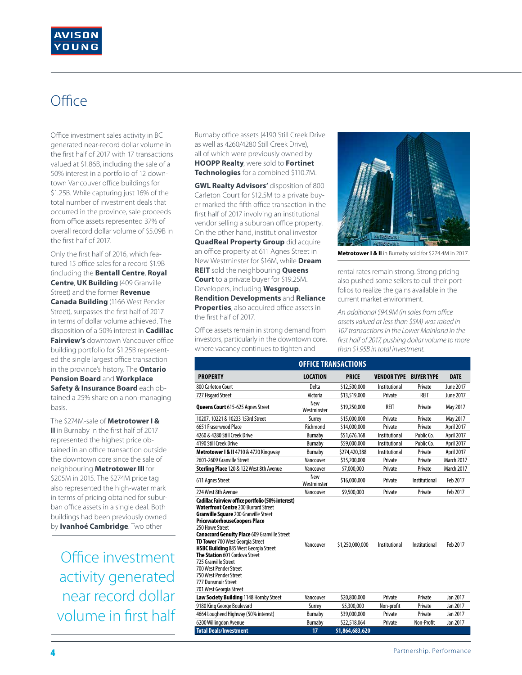# **Office**

Office investment sales activity in BC generated near-record dollar volume in the first half of 2017 with 17 transactions valued at \$1.86B, including the sale of a 50% interest in a portfolio of 12 downtown Vancouver office buildings for \$1.25B. While capturing just 16% of the total number of investment deals that occurred in the province, sale proceeds from office assets represented 37% of overall record dollar volume of \$5.09B in the first half of 2017.

Only the first half of 2016, which featured 15 office sales for a record \$1.9B (including the **Bentall Centre**, **Royal Centre**, **UK Building** (409 Granville Street) and the former **Revenue Canada Building** (1166 West Pender Street), surpasses the first half of 2017 in terms of dollar volume achieved. The disposition of a 50% interest in **Cadillac Fairview's** downtown Vancouver office building portfolio for \$1.25B represented the single largest office transaction in the province's history. The **Ontario Pension Board** and **Workplace Safety & Insurance Board** each obtained a 25% share on a non-managing basis.

The \$274M-sale of **Metrotower I & II** in Burnaby in the first half of 2017 represented the highest price obtained in an office transaction outside the downtown core since the sale of neighbouring **Metrotower III** for \$205M in 2015. The \$274M price tag also represented the high-water mark in terms of pricing obtained for suburban office assets in a single deal. Both buildings had been previously owned by **Ivanhoé Cambridge**. Two other

Office investment activity generated near record dollar volume in first half Burnaby office assets (4190 Still Creek Drive as well as 4260/4280 Still Creek Drive), all of which were previously owned by **HOOPP Realty**, were sold to **Fortinet Technologies** for a combined \$110.7M.

**GWL Realty Advisors'** disposition of 800 Carleton Court for \$12.5M to a private buyer marked the fifth office transaction in the first half of 2017 involving an institutional vendor selling a suburban office property. On the other hand, institutional investor **QuadReal Property Group** did acquire an office property at 611 Agnes Street in New Westminster for \$16M, while **Dream REIT** sold the neighbouring **Queens Court** to a private buyer for \$19.25M. Developers, including **Wesgroup**, **Rendition Developments** and **Reliance Properties**, also acquired office assets in the first half of 2017.

Office assets remain in strong demand from investors, particularly in the downtown core, where vacancy continues to tighten and



**Metrotower I & II** in Burnaby sold for \$274.4M in 2017.

rental rates remain strong. Strong pricing also pushed some sellers to cull their portfolios to realize the gains available in the current market environment.

*An additional \$94.9M (in sales from office assets valued at less than \$5M) was raised in 107 transactions in the Lower Mainland in the first half of 2017, pushing dollar volume to more than \$1.95B in total investment.*

|                                                                                                                                                                                                                                                                                                                                                                                                                                                                                                         |                           | <b>OFFICE TRANSACTIONS</b> |                               |               |                   |
|---------------------------------------------------------------------------------------------------------------------------------------------------------------------------------------------------------------------------------------------------------------------------------------------------------------------------------------------------------------------------------------------------------------------------------------------------------------------------------------------------------|---------------------------|----------------------------|-------------------------------|---------------|-------------------|
| <b>PROPERTY</b>                                                                                                                                                                                                                                                                                                                                                                                                                                                                                         | <b>LOCATION</b>           | <b>PRICE</b>               | <b>VENDOR TYPE BUYER TYPE</b> |               | <b>DATE</b>       |
| 800 Carleton Court                                                                                                                                                                                                                                                                                                                                                                                                                                                                                      | Delta                     | \$12,500,000               | Institutional                 | Private       | June 2017         |
| 727 Fisgard Street                                                                                                                                                                                                                                                                                                                                                                                                                                                                                      | Victoria                  | \$13,519,000               | Private                       | REIT          | June 2017         |
| <b>Queens Court</b> 615-625 Agnes Street                                                                                                                                                                                                                                                                                                                                                                                                                                                                | New<br>Westminster        | \$19,250,000               | RFIT                          | Private       | May 2017          |
| 10207, 10221 & 10233 153rd Street                                                                                                                                                                                                                                                                                                                                                                                                                                                                       | Surrey                    | \$15,000,000               | Private                       | Private       | May 2017          |
| 6651 Fraserwood Place                                                                                                                                                                                                                                                                                                                                                                                                                                                                                   | Richmond                  | \$14,000,000               | Private                       | Private       | April 2017        |
| 4260 & 4280 Still Creek Drive                                                                                                                                                                                                                                                                                                                                                                                                                                                                           | <b>Burnaby</b>            | \$51,676,168               | Institutional                 | Public Co.    | April 2017        |
| 4190 Still Creek Drive                                                                                                                                                                                                                                                                                                                                                                                                                                                                                  | Burnaby                   | \$59,000,000               | Institutional                 | Public Co.    | April 2017        |
| Metrotower I & II 4710 & 4720 Kingsway                                                                                                                                                                                                                                                                                                                                                                                                                                                                  | Burnaby                   | \$274,420,388              | Institutional                 | Private       | April 2017        |
| 2601-2609 Granville Street                                                                                                                                                                                                                                                                                                                                                                                                                                                                              | Vancouver                 | \$35,200,000               | Private                       | Private       | <b>March 2017</b> |
| Sterling Place 120 & 122 West 8th Avenue                                                                                                                                                                                                                                                                                                                                                                                                                                                                | Vancouver                 | \$7,000,000                | Private                       | Private       | <b>March 2017</b> |
| 611 Agnes Street                                                                                                                                                                                                                                                                                                                                                                                                                                                                                        | <b>New</b><br>Westminster | \$16,000,000               | Private                       | Institutional | Feb 2017          |
| 224 West 8th Avenue                                                                                                                                                                                                                                                                                                                                                                                                                                                                                     | Vancouver                 | \$9,500,000                | Private                       | Private       | Feb 2017          |
| Cadillac Fairview office portfolio (50% interest)<br>Waterfront Centre 200 Burrard Street<br><b>Granville Square 200 Granville Street</b><br>PricewaterhouseCoopers Place<br>250 Howe Street<br><b>Canaccord Genuity Place 609 Granville Street</b><br>TD Tower 700 West Georgia Street<br><b>HSBC Building 885 West Georgia Street</b><br>The Station 601 Cordova Street<br>725 Granville Street<br>700 West Pender Street<br>750 West Pender Street<br>777 Dunsmuir Street<br>701 West Georgia Street | Vancouver                 | \$1,250,000,000            | Institutional                 | Institutional | Feb 2017          |
| Law Society Building 1148 Hornby Street                                                                                                                                                                                                                                                                                                                                                                                                                                                                 | Vancouver                 | \$20,800,000               | Private                       | Private       | Jan 2017          |
| 9180 King George Boulevard                                                                                                                                                                                                                                                                                                                                                                                                                                                                              | Surrey                    | \$5,300,000                | Non-profit                    | Private       | Jan 2017          |
| 4664 Lougheed Highway (50% interest)                                                                                                                                                                                                                                                                                                                                                                                                                                                                    | Burnaby                   | \$39,000,000               | Private                       | Private       | Jan 2017          |
| 6200 Willingdon Avenue                                                                                                                                                                                                                                                                                                                                                                                                                                                                                  | <b>Burnaby</b>            | \$22,518,064               | Private                       | Non-Profit    | Jan 2017          |
| <b>Total Deals/Investment</b>                                                                                                                                                                                                                                                                                                                                                                                                                                                                           | 17                        | \$1,864,683,620            |                               |               |                   |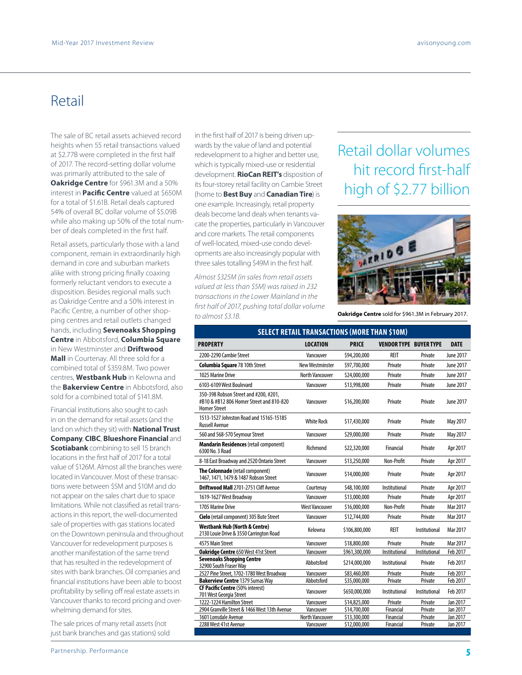## Retail

The sale of BC retail assets achieved record heights when 55 retail transactions valued at \$2.77B were completed in the first half of 2017. The record-setting dollar volume was primarily attributed to the sale of **Oakridge Centre** for \$961.3M and a 50% interest in **Pacific Centre** valued at \$650M for a total of \$1.61B. Retail deals captured 54% of overall BC dollar volume of \$5.09B while also making up 50% of the total number of deals completed in the first half.

Retail assets, particularly those with a land component, remain in extraordinarily high demand in core and suburban markets alike with strong pricing finally coaxing formerly reluctant vendors to execute a disposition. Besides regional malls such as Oakridge Centre and a 50% interest in Pacific Centre, a number of other shopping centres and retail outlets changed hands, including **Sevenoaks Shopping Centre** in Abbotsford, **Columbia Square** in New Westminster and **Driftwood Mall** in Courtenay. All three sold for a combined total of \$359.8M. Two power centres, **Westbank Hub** in Kelowna and the **Bakerview Centre** in Abbotsford, also sold for a combined total of \$141.8M.

Financial institutions also sought to cash in on the demand for retail assets (and the land on which they sit) with **National Trust Company**, **CIBC**, **Blueshore Financial** and **Scotiabank** combining to sell 15 branch locations in the first half of 2017 for a total value of \$126M. Almost all the branches were located in Vancouver. Most of these transactions were between \$5M and \$10M and do not appear on the sales chart due to space limitations. While not classified as retail transactions in this report, the well-documented sale of properties with gas stations located on the Downtown peninsula and throughout Vancouver for redevelopment purposes is another manifestation of the same trend that has resulted in the redevelopment of sites with bank branches. Oil companies and financial institutions have been able to boost profitability by selling off real estate assets in Vancouver thanks to record pricing and overwhelming demand for sites.

The sale prices of many retail assets (not just bank branches and gas stations) sold in the first half of 2017 is being driven upwards by the value of land and potential redevelopment to a higher and better use, which is typically mixed-use or residential development. **RioCan REIT's** disposition of its four-storey retail facility on Cambie Street (home to **Best Buy** and **Canadian Tire**) is one example. Increasingly, retail property deals become land deals when tenants vacate the properties, particularly in Vancouver and core markets. The retail components of well-located, mixed-use condo developments are also increasingly popular with three sales totalling \$49M in the first half.

*Almost \$325M (in sales from retail assets valued at less than \$5M) was raised in 232 transactions in the Lower Mainland in the first half of 2017, pushing total dollar volume to almost \$3.1B.*

# Retail dollar volumes hit record first-half high of \$2.77 billion



**Oakridge Centre** sold for \$961.3M in February 2017.

|                                                                                                          | <b>SELECT RETAIL TRANSACTIONS (MORE THAN \$10M)</b> |               |                               |               |             |
|----------------------------------------------------------------------------------------------------------|-----------------------------------------------------|---------------|-------------------------------|---------------|-------------|
| <b>PROPERTY</b>                                                                                          | <b>LOCATION</b>                                     | <b>PRICE</b>  | <b>VENDOR TYPE BUYER TYPE</b> |               | <b>DATE</b> |
| 2200-2290 Cambie Street                                                                                  | Vancouver                                           | \$94,200,000  | RFIT                          | Private       | June 2017   |
| <b>Columbia Square 78 10th Street</b>                                                                    | <b>New Westminster</b>                              | \$97,700,000  | Private                       | Private       | June 2017   |
| 1025 Marine Drive                                                                                        | <b>North Vancouver</b>                              | \$24,000,000  | Private                       | Private       | June 2017   |
| 6103-6109 West Boulevard                                                                                 | Vancouver                                           | \$13,998,000  | Private                       | Private       | June 2017   |
| 350-398 Robson Street and #200, #201,<br>#B10 & #B12 806 Homer Street and 810-820<br><b>Homer Street</b> | Vancouver                                           | \$16,200,000  | Private                       | Private       | June 2017   |
| 1513-1527 Johnston Road and 15165-15185<br><b>Russell Avenue</b>                                         | <b>White Rock</b>                                   | \$17,430,000  | Private                       | Private       | May 2017    |
| 560 and 568-570 Seymour Street                                                                           | Vancouver                                           | \$29,000,000  | Private                       | Private       | May 2017    |
| <b>Mandarin Residences (retail component)</b><br>6300 No. 3 Road                                         | Richmond                                            | \$22,320,000  | Financial                     | Private       | Apr 2017    |
| 8-18 East Broadway and 2520 Ontario Street                                                               | Vancouver                                           | \$13,250,000  | Non-Profit                    | Private       | Apr 2017    |
| The Colonnade (retail component)<br>1467, 1471, 1479 & 1487 Robson Street                                | Vancouver                                           | \$14,000,000  | Private                       | Private       | Apr 2017    |
| <b>Driftwood Mall 2701-2751 Cliff Avenue</b>                                                             | Courtenay                                           | \$48,100,000  | Institutional                 | Private       | Apr 2017    |
| 1619-1627 West Broadway                                                                                  | Vancouver                                           | \$13,000,000  | Private                       | Private       | Apr 2017    |
| 1705 Marine Drive                                                                                        | <b>West Vancouver</b>                               | \$16,000,000  | Non-Profit                    | Private       | Mar 2017    |
| Cielo (retail component) 305 Bute Street                                                                 | Vancouver                                           | \$12,744,000  | Private                       | Private       | Mar 2017    |
| Westbank Hub (North & Centre)<br>2130 Louie Drive & 3550 Carrington Road                                 | Kelowna                                             | \$106.800.000 | REIT                          | Institutional | Mar 2017    |
| 4575 Main Street                                                                                         | Vancouver                                           | \$18,800,000  | Private                       | Private       | Mar 2017    |
| <b>Oakridge Centre 650 West 41st Street</b>                                                              | Vancouver                                           | \$961,300,000 | Institutional                 | Institutional | Feb 2017    |
| <b>Sevenoaks Shopping Centre</b><br>32900 South Fraser Way                                               | Abbotsford                                          | \$214,000,000 | Institutional                 | Private       | Feb 2017    |
| 2527 Pine Street, 1702-1780 West Broadway                                                                | Vancouver                                           | \$83,460,000  | Private                       | Private       | Feb 2017    |
| <b>Bakerview Centre 1379 Sumas Way</b>                                                                   | Abbotsford                                          | \$35,000,000  | Private                       | Private       | Feb 2017    |
| <b>CF Pacific Centre (50% interest)</b><br>701 West Georgia Street                                       | Vancouver                                           | \$650,000,000 | Institutional                 | Institutional | Feb 2017    |
| 1222-1224 Hamilton Street                                                                                | Vancouver                                           | \$14,825,000  | Private                       | Private       | Jan 2017    |
| 2904 Granville Street & 1466 West 13th Avenue                                                            | Vancouver                                           | \$14,700,000  | Financial                     | Private       | Jan 2017    |
| 1601 Lonsdale Avenue                                                                                     | <b>North Vancouver</b>                              | \$13,300,000  | Financial                     | Private       | Jan 2017    |
| 2288 West 41st Avenue                                                                                    | Vancouver                                           | \$12,000,000  | Financial                     | Private       | Jan 2017    |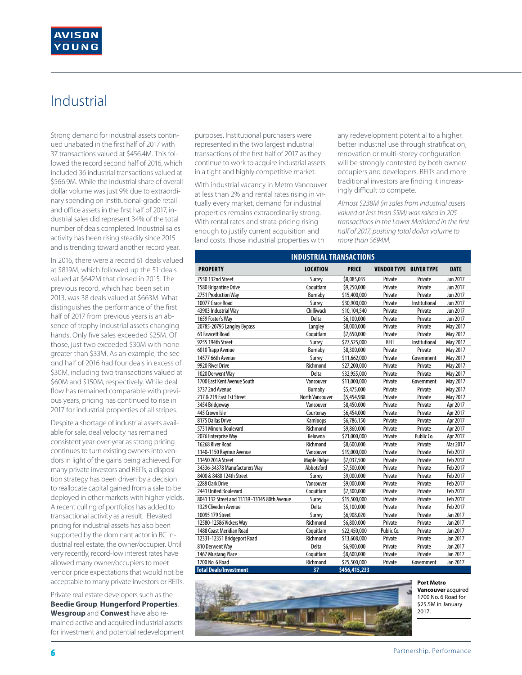# Industrial

Strong demand for industrial assets continued unabated in the first half of 2017 with 37 transactions valued at \$456.4M. This followed the record second half of 2016, which included 36 industrial transactions valued at \$566.9M. While the industrial share of overall dollar volume was just 9% due to extraordinary spending on institutional-grade retail and office assets in the first half of 2017, industrial sales did represent 34% of the total number of deals completed. Industrial sales activity has been rising steadily since 2015 and is trending toward another record year.

In 2016, there were a record 61 deals valued at \$819M, which followed up the 51 deals valued at \$642M that closed in 2015. The previous record, which had been set in 2013, was 38 deals valued at \$663M. What distinguishes the performance of the first half of 2017 from previous years is an absence of trophy industrial assets changing hands. Only five sales exceeded \$25M. Of those, just two exceeded \$30M with none greater than \$33M. As an example, the second half of 2016 had four deals in excess of \$30M, including two transactions valued at \$60M and \$150M, respectively. While deal flow has remained comparable with previous years, pricing has continued to rise in 2017 for industrial properties of all stripes.

Despite a shortage of industrial assets available for sale, deal velocity has remained consistent year-over-year as strong pricing continues to turn existing owners into vendors in light of the gains being achieved. For many private investors and REITs, a disposition strategy has been driven by a decision to reallocate capital gained from a sale to be deployed in other markets with higher yields. A recent culling of portfolios has added to transactional activity as a result. Elevated pricing for industrial assets has also been supported by the dominant actor in BC industrial real estate, the owner/occupier. Until very recently, record-low interest rates have allowed many owner/occupiers to meet vendor price expectations that would not be acceptable to many private investors or REITs.

Private real estate developers such as the **Beedie Group**, **Hungerford Properties**, **Wesgroup** and **Conwest** have also remained active and acquired industrial assets for investment and potential redevelopment purposes. Institutional purchasers were represented in the two largest industrial transactions of the first half of 2017 as they continue to work to acquire industrial assets in a tight and highly competitive market.

With industrial vacancy in Metro Vancouver at less than 2% and rental rates rising in virtually every market, demand for industrial properties remains extraordinarily strong. With rental rates and strata pricing rising enough to justify current acquisition and land costs, those industrial properties with

any redevelopment potential to a higher, better industrial use through stratification, renovation or multi-storey configuration will be strongly contested by both owner/ occupiers and developers. REITs and more traditional investors are finding it increasingly difficult to compete.

*Almost \$238M (in sales from industrial assets valued at less than \$5M) was raised in 205 transactions in the Lower Mainland in the first half of 2017, pushing total dollar volume to more than \$694M.*

### **industrial transactions**

| <b>PROPERTY</b>                              | <b>LOCATION</b>    | <b>PRICE</b>  | <b>VENDOR TYPE BUYER TYPE</b> |               | <b>DATE</b> |
|----------------------------------------------|--------------------|---------------|-------------------------------|---------------|-------------|
| 7550 132nd Street                            | Surrey             | \$8,085,035   | Private                       | Private       | Jun 2017    |
| 1580 Brigantine Drive                        | Coquitlam          | \$9,250,000   | Private                       | Private       | Jun 2017    |
| 2751 Production Way                          | <b>Burnaby</b>     | \$15,400,000  | Private                       | Private       | Jun 2017    |
| 10077 Grace Road                             | Surrey             | \$30,900,000  | Private                       | Institutional | Jun 2017    |
| 43903 Industrial Way                         | Chilliwack         | \$10,104,540  | Private                       | Private       | Jun 2017    |
| 1659 Foster's Way                            | Delta              | \$6,100,000   | Private                       | Private       | Jun 2017    |
| 20785-20795 Langley Bypass                   | Langley            | \$8,000,000   | Private                       | Private       | May 2017    |
| 63 Fawcett Road                              | Coquitlam          | \$7,650,000   | Private                       | Private       | May 2017    |
| 9255 194th Street                            | Surrey             | \$27,525,000  | <b>REIT</b>                   | Institutional | May 2017    |
| 6010 Trapp Avenue                            | <b>Burnaby</b>     | \$8,300,000   | Private                       | Private       | May 2017    |
| 14577 66th Avenue                            | Surrey             | \$11,662,000  | Private                       | Government    | May 2017    |
| 9920 River Drive                             | Richmond           | \$27,200,000  | Private                       | Private       | May 2017    |
| 1020 Derwent Way                             | Delta              | \$32,955,000  | Private                       | Private       | May 2017    |
| 1700 East Kent Avenue South                  | Vancouver          | \$11,000,000  | Private                       | Government    | May 2017    |
| 3737 2nd Avenue                              | Burnaby            | \$5,475,000   | Private                       | Private       | May 2017    |
| 217 & 219 East 1st Street                    | North Vancouver    | \$5,454,988   | Private                       | Private       | May 2017    |
| 3454 Bridgeway                               | Vancouver          | \$8,450,000   | Private                       | Private       | Apr 2017    |
| 445 Crown Isle                               | Courtenay          | \$6,454,000   | Private                       | Private       | Apr 2017    |
| 8175 Dallas Drive                            | Kamloops           | \$6,786,150   | Private                       | Private       | Apr 2017    |
| 5731 Minoru Boulevard                        | Richmond           | \$9,860,000   | Private                       | Private       | Apr 2017    |
| 2076 Enterprise Way                          | Kelowna            | \$21,000,000  | Private                       | Public Co.    | Apr 2017    |
| 16268 River Road                             | Richmond           | \$8,600,000   | Private                       | Private       | Mar 2017    |
| 1140-1150 Raymur Avenue                      | Vancouver          | \$19,000,000  | Private                       | Private       | Feb 2017    |
| 11450 201A Street                            | <b>Maple Ridge</b> | \$7,037,500   | Private                       | Private       | Feb 2017    |
| 34336-34378 Manufacturers Wav                | Abbotsford         | \$7,500,000   | Private                       | Private       | Feb 2017    |
| 8400 & 8480 124th Street                     | Surrey             | \$9,000,000   | Private                       | Private       | Feb 2017    |
| 2288 Clark Drive                             | Vancouver          | \$9,000,000   | Private                       | Private       | Feb 2017    |
| 2441 United Boulevard                        | Coquitlam          | \$7,300,000   | Private                       | Private       | Feb 2017    |
| 8041 132 Street and 13139 -13145 80th Avenue | Surrey             | \$15,500,000  | Private                       | Private       | Feb 2017    |
| 1329 Cliveden Avenue                         | Delta              | \$5,100,000   | Private                       | Private       | Feb 2017    |
| 10095 179 Street                             | Surrey             | \$6,908,020   | Private                       | Private       | Jan 2017    |
| 12580-12586 Vickers Wav                      | Richmond           | \$6,800,000   | Private                       | Private       | Jan 2017    |
| 1488 Coast Meridian Road                     | Coquitlam          | \$22,450,000  | Public Co.                    | Private       | Jan 2017    |
| 12331-12351 Bridgeport Road                  | Richmond           | \$13,608,000  | Private                       | Private       | Jan 2017    |
| 810 Derwent Way                              | Delta              | \$6,900,000   | Private                       | Private       | Jan 2017    |
| 1467 Mustang Place                           | Coquitlam          | \$8,600,000   | Private                       | Private       | Jan 2017    |
| 1700 No. 6 Road                              | Richmond           | \$25,500,000  | Private                       | Government    | Jan 2017    |
| <b>Total Deals/Investment</b>                | 37                 | \$456,415,233 |                               |               |             |



**Port Metro Vancouver** acquired 1700 No. 6 Road for \$25.5M in January 2017.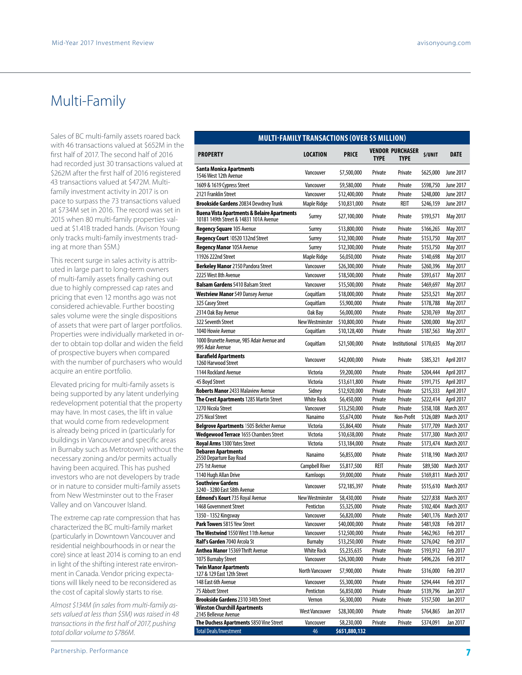## Multi-Family

Sales of BC multi-family assets roared back with 46 transactions valued at \$652M in the first half of 2017. The second half of 2016 had recorded just 30 transactions valued at \$262M after the first half of 2016 registered 43 transactions valued at \$472M. Multifamily investment activity in 2017 is on pace to surpass the 73 transactions valued at \$734M set in 2016. The record was set in 2015 when 80 multi-family properties valued at \$1.41B traded hands. (Avison Young only tracks multi-family investments trading at more than \$5M.)

This recent surge in sales activity is attributed in large part to long-term owners of multi-family assets finally cashing out due to highly compressed cap rates and pricing that even 12 months ago was not considered achievable. Further boosting sales volume were the single dispositions of assets that were part of larger portfolios. Properties were individually marketed in order to obtain top dollar and widen the field of prospective buyers when compared with the number of purchasers who would acquire an entire portfolio.

Elevated pricing for multi-family assets is being supported by any latent underlying redevelopment potential that the property may have. In most cases, the lift in value that would come from redevelopment is already being priced in (particularly for buildings in Vancouver and specific areas in Burnaby such as Metrotown) without the necessary zoning and/or permits actually having been acquired. This has pushed investors who are not developers by trade or in nature to consider multi-family assets from New Westminster out to the Fraser Valley and on Vancouver Island.

The extreme cap rate compression that has characterized the BC multi-family market (particularly in Downtown Vancouver and residential neighbourhoods in or near the core) since at least 2014 is coming to an end in light of the shifting interest rate environment in Canada. Vendor pricing expectations will likely need to be reconsidered as the cost of capital slowly starts to rise.

*Almost \$134M (in sales from multi-family assets valued at less than \$5M) was raised in 48 transactions in the first half of 2017, pushing total dollar volume to \$786M.*

| <b>MULTI-FAMILY TRANSACTIONS (OVER \$5 MILLION)</b>                                              |                                     |                             |                    |                         |                        |                                        |
|--------------------------------------------------------------------------------------------------|-------------------------------------|-----------------------------|--------------------|-------------------------|------------------------|----------------------------------------|
|                                                                                                  |                                     | <b>PRICE</b>                |                    | <b>VENDOR PURCHASER</b> | <b>S/UNIT</b>          | <b>DATE</b>                            |
| <b>PROPERTY</b>                                                                                  | LOCATION                            |                             | <b>TYPE</b>        | <b>TYPE</b>             |                        |                                        |
| Santa Monica Apartments<br>1546 West 12th Avenue                                                 | Vancouver                           | \$7,500,000                 | Private            | Private                 | \$625,000              | <b>June 2017</b>                       |
| 1609 & 1619 Cypress Street                                                                       | Vancouver                           | \$9,580,000                 | Private            | Private                 | \$598,750              | June 2017                              |
| 2121 Franklin Street                                                                             | Vancouver                           | \$12,400,000                | Private            | Private                 | \$248,000              | June 2017                              |
| Brookside Gardens 20834 Dewdney Trunk                                                            | Maple Ridge                         | \$10,831,000                | Private            | REIT                    | \$246,159              | June 2017                              |
| <b>Buena Vista Apartments &amp; Belaire Apartments</b><br>10181 149th Street & 14831 101A Avenue | Surrey                              | \$27,100,000                | Private            | Private                 | \$193,571              | May 2017                               |
| <b>Regency Square 105 Avenue</b>                                                                 | <b>Surrey</b>                       | \$13,800,000                | Private            | Private                 | \$166,265              | May 2017                               |
| Regency Court 10520 132nd Street                                                                 | Surrey                              | \$12,300,000                | Private            | Private                 | \$153,750              | May 2017                               |
| Regency Manor 105A Avenue                                                                        | <b>Surrey</b>                       | \$12,300,000                | Private            | Private                 | \$153,750              | May 2017                               |
| 11926 222nd Street                                                                               | Maple Ridge                         | \$6,050,000                 | Private            | Private                 | \$140,698              | May 2017                               |
| <b>Berkeley Manor</b> 2150 Pandora Street                                                        | Vancouver                           | \$26,300,000                | Private            | Private                 | \$260,396              | May 2017                               |
| 2225 West 8th Avenue                                                                             | Vancouver                           | \$18,500,000                | Private            | Private                 | \$393,617              | May 2017                               |
| <b>Balsam Gardens</b> 5410 Balsam Street                                                         | Vancouver                           | \$15,500,000                | Private            | Private                 | \$469,697              | May 2017                               |
| <b>Westview Manor</b> 549 Dansey Avenue                                                          | Coauitlam                           | \$18,000,000                | Private            | Private                 | \$253,521              | May 2017                               |
| 325 Casey Street                                                                                 | Coquitlam                           | \$5,900,000                 | Private            | Private                 | \$178,788              | May 2017                               |
| 2314 Oak Bay Avenue                                                                              | Oak Bay                             | \$6,000,000                 | Private            | Private                 | \$230,769              | May 2017                               |
| 322 Seventh Street                                                                               | <b>New Westminster</b>              | \$10,800,000                | Private            | Private                 | \$200,000              | May 2017                               |
| 1040 Howie Avenue                                                                                | Coauitlam                           | \$10,128,400                | Private            | Private                 | \$187,563              | May 2017                               |
| 1000 Brunette Avenue, 985 Adair Avenue and<br>995 Adair Avenue                                   | Coquitlam                           | \$21,500,000                | Private            | Institutional           | \$170,635              | May 2017                               |
| <b>Barafield Apartments</b><br>1260 Harwood Street                                               | Vancouver                           | \$42,000,000                | Private            | Private                 | \$385,321              | April 2017                             |
| 1144 Rockland Avenue                                                                             | Victoria                            | \$9,200,000                 | Private            | Private                 | \$204,444              | April 2017                             |
| 45 Boyd Street                                                                                   | Victoria                            | \$13,611,800                | Private            | Private                 | \$191,715              | April 2017                             |
| <b>Roberts Manor</b> 2433 Malaview Avenue                                                        | Sidney                              | \$12,920,000                | Private            | Private                 | \$215,333              | April 2017                             |
| <b>The Crest Apartments</b> 1285 Martin Street                                                   | <b>White Rock</b>                   | \$6,450,000                 | Private            | Private                 | \$222,414              | April 2017                             |
| 1270 Nicola Street                                                                               | Vancouver                           | \$13,250,000                | Private            | Private                 | \$358,108              | <b>March 2017</b>                      |
| 275 Nicol Street                                                                                 | Nanaimo                             | \$5,674,000                 | Private            | Non-Profit              | \$126,089              | <b>March 2017</b>                      |
| <b>Belgrove Apartments</b> 1505 Belcher Avenue                                                   | Victoria                            | \$5,864,400                 | Private            | Private                 | \$177,709              | <b>March 2017</b>                      |
| Wedgewood Terrace 1655 Chambers Street                                                           | Victoria                            | \$10,638,000                | Private            | Private                 | \$177,300              | <b>March 2017</b>                      |
| Royal Arms 1300 Yates Street                                                                     | Victoria                            | \$13,184,000                | Private            | Private                 | \$173,474              | <b>March 2017</b>                      |
| Debaren Apartments<br>2550 Departure Bay Road                                                    | Nanaimo                             | \$6,855,000                 | Private            | Private                 | \$118,190              | <b>March 2017</b>                      |
| 275 1st Avenue                                                                                   | <b>Campbell River</b>               | \$5,817,500                 | REIT               | Private                 | \$89,500               | <b>March 2017</b>                      |
| 1140 Hugh Allan Drive<br><b>Southview Gardens</b>                                                | Kamloops                            | \$9,000,000                 | Private            | Private                 | \$169,811              | <b>March 2017</b>                      |
| 3240 - 3280 East 58th Avenue<br><b>Edmond's Kourt</b> 735 Royal Avenue                           | Vancouver<br><b>New Westminster</b> | \$72,185,397<br>\$8,430,000 | Private<br>Private | Private<br>Private      | \$515,610<br>\$227,838 | <b>March 2017</b><br><b>March 2017</b> |
| 1468 Government Street                                                                           | Penticton                           | \$5,325,000                 | Private            | Private                 | \$102,404              | <b>March 2017</b>                      |
| 1350 - 1352 Kingsway                                                                             | Vancouver                           | \$6,820,000                 | Private            | Private                 | \$401,176              | <b>March 2017</b>                      |
| Park Towers 5815 Yew Street                                                                      | Vancouver                           | \$40,000,000                | Private            | Private                 | \$481,928              | Feb 2017                               |
| The Westwind 1550 West 11th Avenue                                                               | Vancouver                           | \$12,500,000                | Private            | Private                 | \$462,963              | Feb 2017                               |
| Ralf's Garden 7040 Arcola St                                                                     | Burnaby                             | \$13,250,000                | Private            | Private                 | \$276,042              | Feb 2017                               |
| <b>Anthea Manor</b> 15369 Thrift Avenue                                                          | <b>White Rock</b>                   | \$5,235,635                 | Private            | Private                 | \$193,912              | Feb 2017                               |
| 1075 Burnaby Street                                                                              | Vancouver                           | \$26,300,000                | Private            | Private                 | \$496,226              | Feb 2017                               |
| <b>Twin Manor Apartments</b><br>127 & 129 East 12th Street                                       | <b>North Vancouver</b>              | \$7,900,000                 | Private            | Private                 | \$316,000              | Feb 2017                               |
| 148 East 6th Avenue                                                                              | Vancouver                           | \$5,300,000                 | Private            | Private                 | \$294,444              | Feb 2017                               |
| 75 Abbott Street                                                                                 | Penticton                           | \$6,850,000                 | Private            | Private                 | \$139,796              | Jan 2017                               |
| Brookside Gardens 2310 34th Street                                                               | Vernon                              | \$6,300,000                 | Private            | Private                 | \$157,500              | Jan 2017                               |
| Winston Churchill Apartments<br>2145 Bellevue Avenue                                             | <b>West Vancouver</b>               | \$28,300,000                | Private            | Private                 | \$764,865              | Jan 2017                               |
| The Duchess Apartments 5850 Vine Street                                                          | Vancouver                           | \$8,230,000                 | Private            | Private                 | \$374,091              | Jan 2017                               |
| <b>Total Deals/Investment</b>                                                                    | 46                                  | \$651,880,132               |                    |                         |                        |                                        |